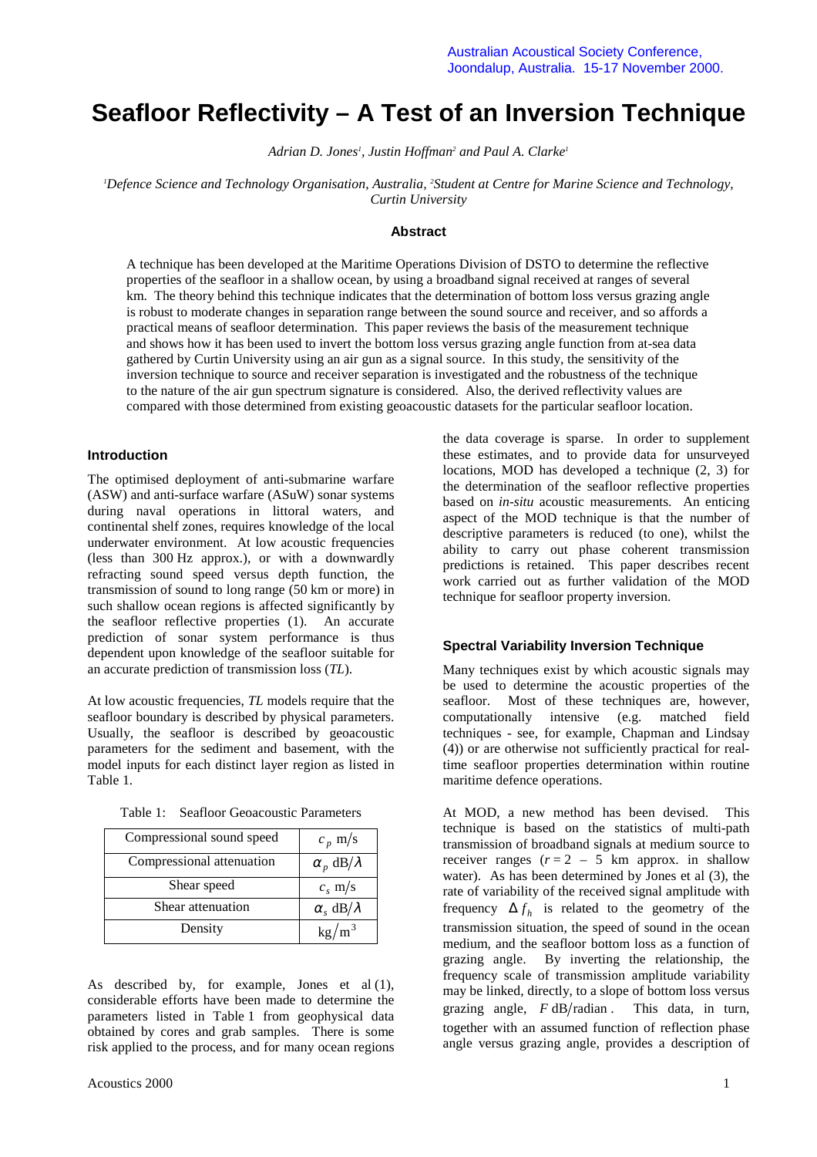# **Seafloor Reflectivity – A Test of an Inversion Technique**

Adrian D. Jones<sup>1</sup>, Justin Hoffman<sup>2</sup> and Paul A. Clarke<sup>1</sup>

*1 Defence Science and Technology Organisation, Australia, 2 Student at Centre for Marine Science and Technology, Curtin University*

# **Abstract**

A technique has been developed at the Maritime Operations Division of DSTO to determine the reflective properties of the seafloor in a shallow ocean, by using a broadband signal received at ranges of several km. The theory behind this technique indicates that the determination of bottom loss versus grazing angle is robust to moderate changes in separation range between the sound source and receiver, and so affords a practical means of seafloor determination. This paper reviews the basis of the measurement technique and shows how it has been used to invert the bottom loss versus grazing angle function from at-sea data gathered by Curtin University using an air gun as a signal source. In this study, the sensitivity of the inversion technique to source and receiver separation is investigated and the robustness of the technique to the nature of the air gun spectrum signature is considered. Also, the derived reflectivity values are compared with those determined from existing geoacoustic datasets for the particular seafloor location.

## **Introduction**

The optimised deployment of anti-submarine warfare (ASW) and anti-surface warfare (ASuW) sonar systems during naval operations in littoral waters, and continental shelf zones, requires knowledge of the local underwater environment. At low acoustic frequencies (less than 300 Hz approx.), or with a downwardly refracting sound speed versus depth function, the transmission of sound to long range (50 km or more) in such shallow ocean regions is affected significantly by the seafloor reflective properties (1). An accurate prediction of sonar system performance is thus dependent upon knowledge of the seafloor suitable for an accurate prediction of transmission loss (*TL*).

At low acoustic frequencies, *TL* models require that the seafloor boundary is described by physical parameters. Usually, the seafloor is described by geoacoustic parameters for the sediment and basement, with the model inputs for each distinct layer region as listed in Table 1.

| Compressional sound speed | $c_p$ m/s                |
|---------------------------|--------------------------|
| Compressional attenuation | $\alpha_p$ dB/ $\lambda$ |
| Shear speed               | $c_s$ m/s                |
| Shear attenuation         | $\alpha_s$ dB/ $\lambda$ |
| Density                   | $kg/m^3$                 |

Table 1: Seafloor Geoacoustic Parameters

As described by, for example, Jones et al (1), considerable efforts have been made to determine the parameters listed in Table 1 from geophysical data obtained by cores and grab samples. There is some risk applied to the process, and for many ocean regions

the data coverage is sparse. In order to supplement these estimates, and to provide data for unsurveyed locations, MOD has developed a technique (2, 3) for the determination of the seafloor reflective properties based on *in-situ* acoustic measurements. An enticing aspect of the MOD technique is that the number of descriptive parameters is reduced (to one), whilst the ability to carry out phase coherent transmission predictions is retained. This paper describes recent work carried out as further validation of the MOD technique for seafloor property inversion.

#### **Spectral Variability Inversion Technique**

Many techniques exist by which acoustic signals may be used to determine the acoustic properties of the seafloor. Most of these techniques are, however, computationally intensive (e.g. matched field techniques - see, for example, Chapman and Lindsay (4)) or are otherwise not sufficiently practical for realtime seafloor properties determination within routine maritime defence operations.

At MOD, a new method has been devised. This technique is based on the statistics of multi-path transmission of broadband signals at medium source to receiver ranges  $(r=2 - 5)$  km approx. in shallow water). As has been determined by Jones et al (3), the rate of variability of the received signal amplitude with frequency  $\Delta f_h$  is related to the geometry of the transmission situation, the speed of sound in the ocean medium, and the seafloor bottom loss as a function of grazing angle. By inverting the relationship, the frequency scale of transmission amplitude variability may be linked, directly, to a slope of bottom loss versus grazing angle,  $F \text{ dB/radian}$ . This data, in turn, together with an assumed function of reflection phase angle versus grazing angle, provides a description of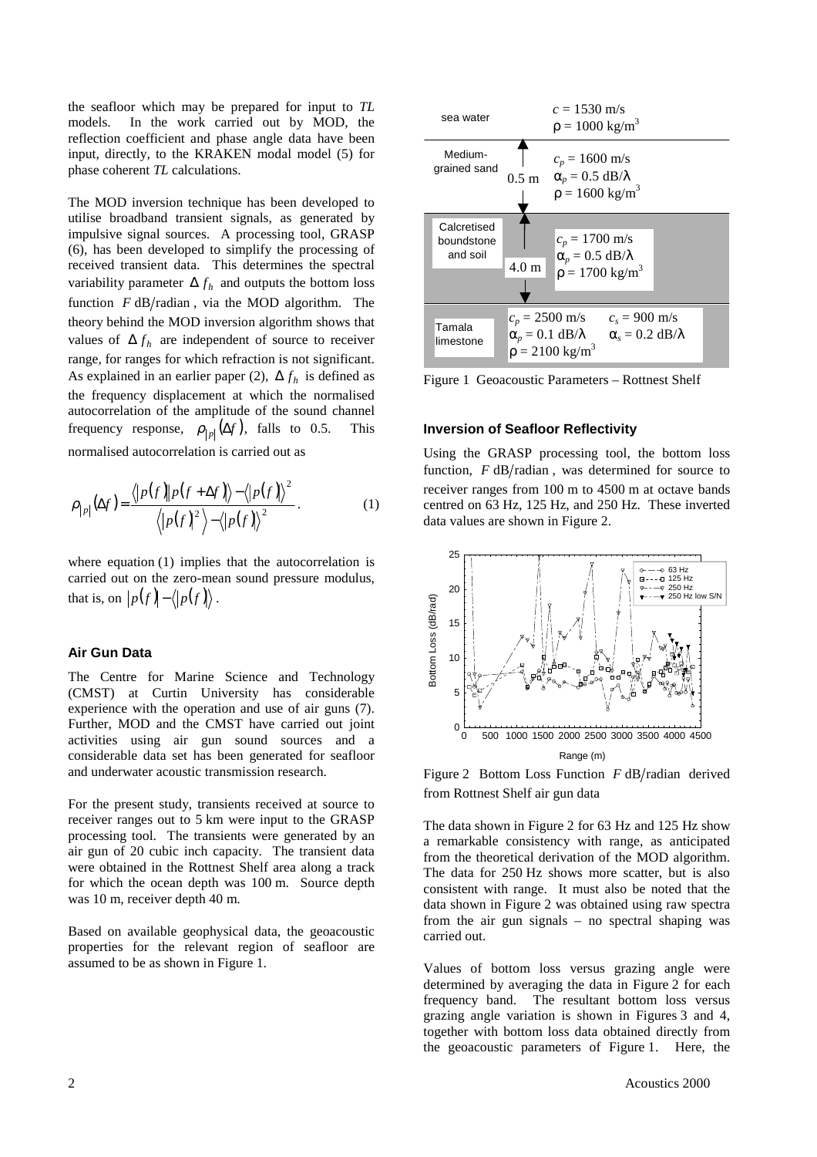the seafloor which may be prepared for input to *TL* models. In the work carried out by MOD, the reflection coefficient and phase angle data have been input, directly, to the KRAKEN modal model (5) for phase coherent *TL* calculations.

The MOD inversion technique has been developed to utilise broadband transient signals, as generated by impulsive signal sources. A processing tool, GRASP (6), has been developed to simplify the processing of received transient data. This determines the spectral variability parameter  $\Delta f_h$  and outputs the bottom loss function  $F dB/r$  adian, via the MOD algorithm. The theory behind the MOD inversion algorithm shows that values of  $\Delta f_h$  are independent of source to receiver range, for ranges for which refraction is not significant. As explained in an earlier paper (2),  $\Delta f_h$  is defined as the frequency displacement at which the normalised autocorrelation of the amplitude of the sound channel frequency response,  $\rho_{|p|}(\Delta f)$ , falls to 0.5. This

normalised autocorrelation is carried out as

$$
\rho_{|p|}(\Delta f) = \frac{\langle |p(f)| |p(f + \Delta f) \rangle - \langle |p(f)| \rangle^2}{\langle |p(f)|^2 \rangle - \langle |p(f)| \rangle^2}.
$$
\n(1)

where equation (1) implies that the autocorrelation is carried out on the zero-mean sound pressure modulus, that is, on  $|p(f) - \langle p(f) \rangle$ .

## **Air Gun Data**

The Centre for Marine Science and Technology (CMST) at Curtin University has considerable experience with the operation and use of air guns (7). Further, MOD and the CMST have carried out joint activities using air gun sound sources and a considerable data set has been generated for seafloor and underwater acoustic transmission research.

For the present study, transients received at source to receiver ranges out to 5 km were input to the GRASP processing tool. The transients were generated by an air gun of 20 cubic inch capacity. The transient data were obtained in the Rottnest Shelf area along a track for which the ocean depth was 100 m. Source depth was 10 m, receiver depth 40 m.

Based on available geophysical data, the geoacoustic properties for the relevant region of seafloor are assumed to be as shown in Figure 1.



Figure 1 Geoacoustic Parameters – Rottnest Shelf

## **Inversion of Seafloor Reflectivity**

Using the GRASP processing tool, the bottom loss function,  $F \text{ dB/radian}$ , was determined for source to receiver ranges from 100 m to 4500 m at octave bands centred on 63 Hz, 125 Hz, and 250 Hz. These inverted data values are shown in Figure 2.





The data shown in Figure 2 for 63 Hz and 125 Hz show a remarkable consistency with range, as anticipated from the theoretical derivation of the MOD algorithm. The data for 250 Hz shows more scatter, but is also consistent with range. It must also be noted that the data shown in Figure 2 was obtained using raw spectra from the air gun signals – no spectral shaping was carried out.

Values of bottom loss versus grazing angle were determined by averaging the data in Figure 2 for each frequency band. The resultant bottom loss versus grazing angle variation is shown in Figures 3 and 4, together with bottom loss data obtained directly from the geoacoustic parameters of Figure 1. Here, the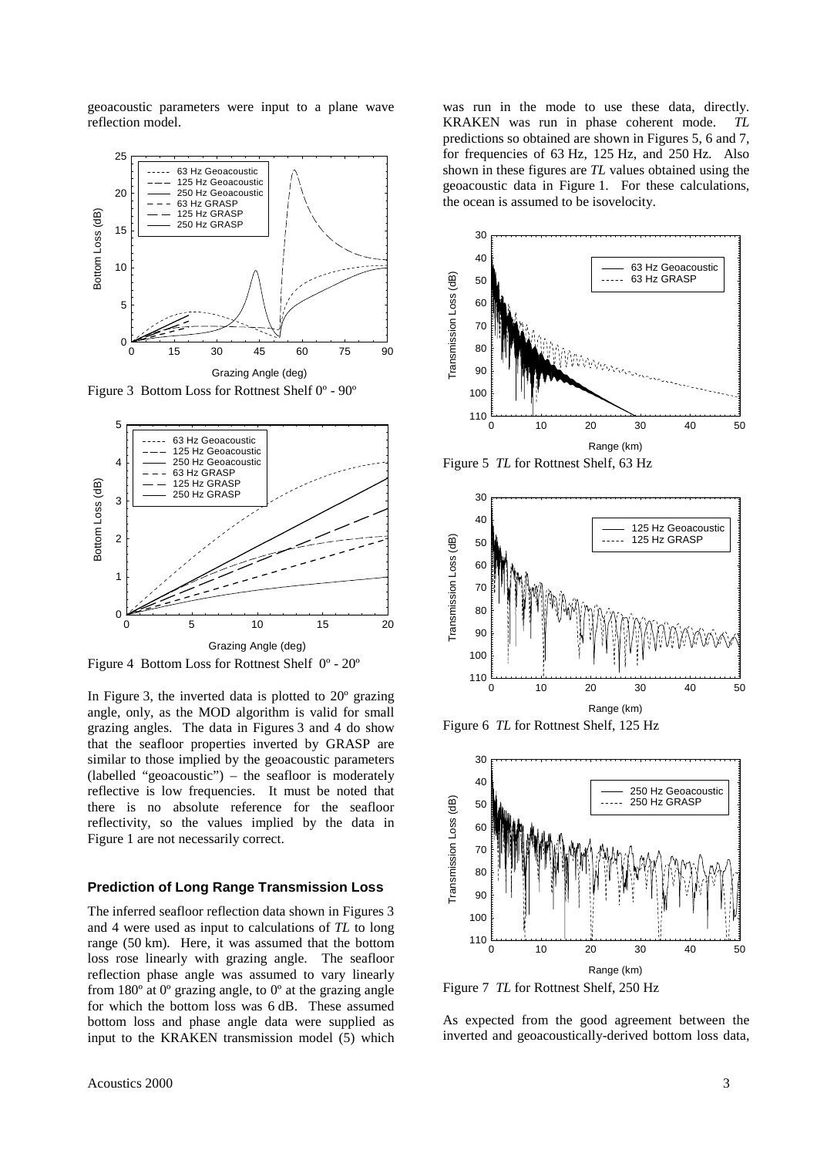geoacoustic parameters were input to a plane wave reflection model.



Figure 3 Bottom Loss for Rottnest Shelf 0º - 90º



Figure 4 Bottom Loss for Rottnest Shelf 0º - 20º

In Figure 3, the inverted data is plotted to 20º grazing angle, only, as the MOD algorithm is valid for small grazing angles. The data in Figures 3 and 4 do show that the seafloor properties inverted by GRASP are similar to those implied by the geoacoustic parameters (labelled "geoacoustic") – the seafloor is moderately reflective is low frequencies. It must be noted that there is no absolute reference for the seafloor reflectivity, so the values implied by the data in Figure 1 are not necessarily correct.

## **Prediction of Long Range Transmission Loss**

The inferred seafloor reflection data shown in Figures 3 and 4 were used as input to calculations of *TL* to long range (50 km). Here, it was assumed that the bottom loss rose linearly with grazing angle. The seafloor reflection phase angle was assumed to vary linearly from  $180^\circ$  at  $0^\circ$  grazing angle, to  $0^\circ$  at the grazing angle for which the bottom loss was 6 dB. These assumed bottom loss and phase angle data were supplied as input to the KRAKEN transmission model (5) which

was run in the mode to use these data, directly. KRAKEN was run in phase coherent mode. *TL* predictions so obtained are shown in Figures 5, 6 and 7, for frequencies of 63 Hz, 125 Hz, and 250 Hz. Also shown in these figures are *TL* values obtained using the geoacoustic data in Figure 1. For these calculations, the ocean is assumed to be isovelocity.



Figure 5 *TL* for Rottnest Shelf, 63 Hz



Figure 6 *TL* for Rottnest Shelf, 125 Hz



Figure 7 *TL* for Rottnest Shelf, 250 Hz

As expected from the good agreement between the inverted and geoacoustically-derived bottom loss data,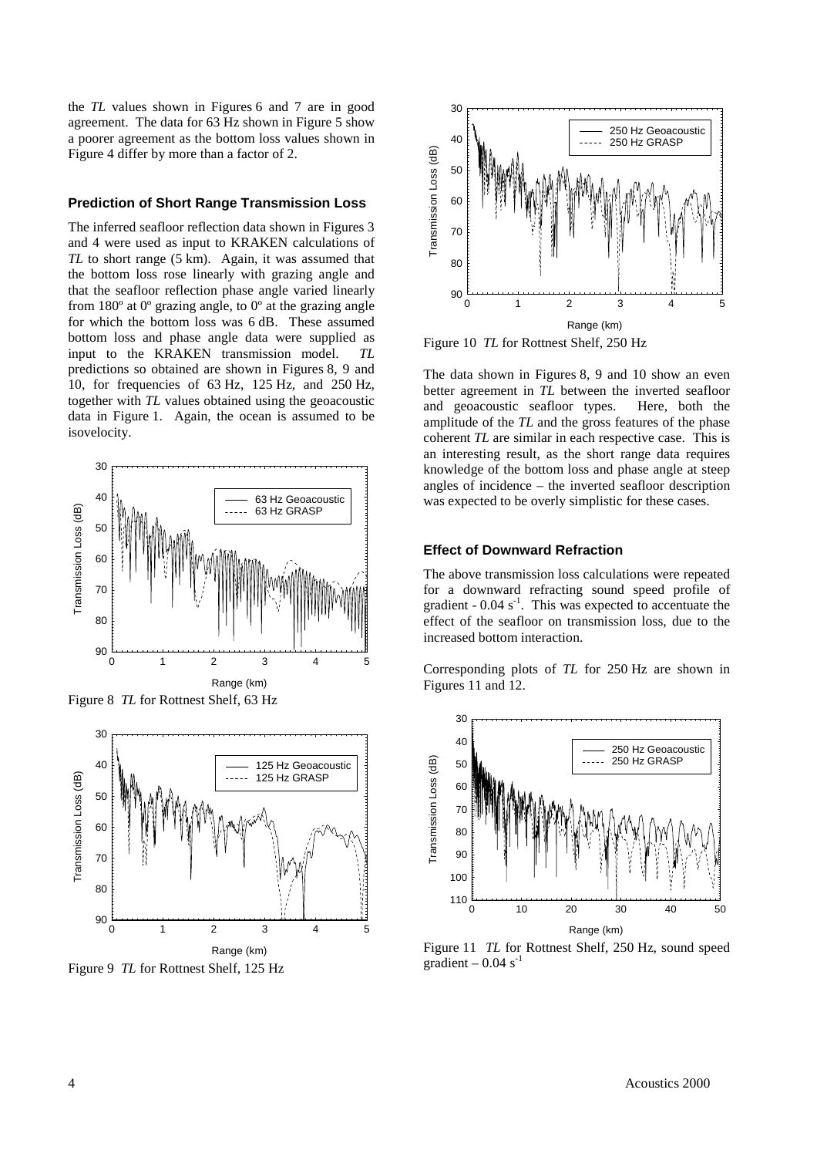the *TL* values shown in Figures 6 and 7 are in good agreement. The data for 63 Hz shown in Figure 5 show a poorer agreement as the bottom loss values shown in Figure 4 differ by more than a factor of 2.

#### **Prediction of Short Range Transmission Loss**

The inferred seafloor reflection data shown in Figures 3 and 4 were used as input to KRAKEN calculations of *TL* to short range (5 km). Again, it was assumed that the bottom loss rose linearly with grazing angle and that the seafloor reflection phase angle varied linearly from 180º at 0º grazing angle, to 0º at the grazing angle for which the bottom loss was 6 dB. These assumed bottom loss and phase angle data were supplied as input to the KRAKEN transmission model. *TL* predictions so obtained are shown in Figures 8, 9 and 10, for frequencies of 63 Hz, 125 Hz, and 250 Hz, together with *TL* values obtained using the geoacoustic data in Figure 1. Again, the ocean is assumed to be isovelocity.







Figure 9 *TL* for Rottnest Shelf, 125 Hz



Figure 10 *TL* for Rottnest Shelf, 250 Hz

The data shown in Figures 8, 9 and 10 show an even better agreement in *TL* between the inverted seafloor and geoacoustic seafloor types. Here, both the amplitude of the *TL* and the gross features of the phase coherent *TL* are similar in each respective case. This is an interesting result, as the short range data requires knowledge of the bottom loss and phase angle at steep angles of incidence – the inverted seafloor description was expected to be overly simplistic for these cases.

# **Effect of Downward Refraction**

The above transmission loss calculations were repeated for a downward refracting sound speed profile of gradient  $-0.04$  s<sup>-1</sup>. This was expected to accentuate the effect of the seafloor on transmission loss, due to the increased bottom interaction.

Corresponding plots of *TL* for 250 Hz are shown in Figures 11 and 12.



Figure 11 *TL* for Rottnest Shelf, 250 Hz, sound speed gradient –  $0.04$  s<sup>-1</sup>